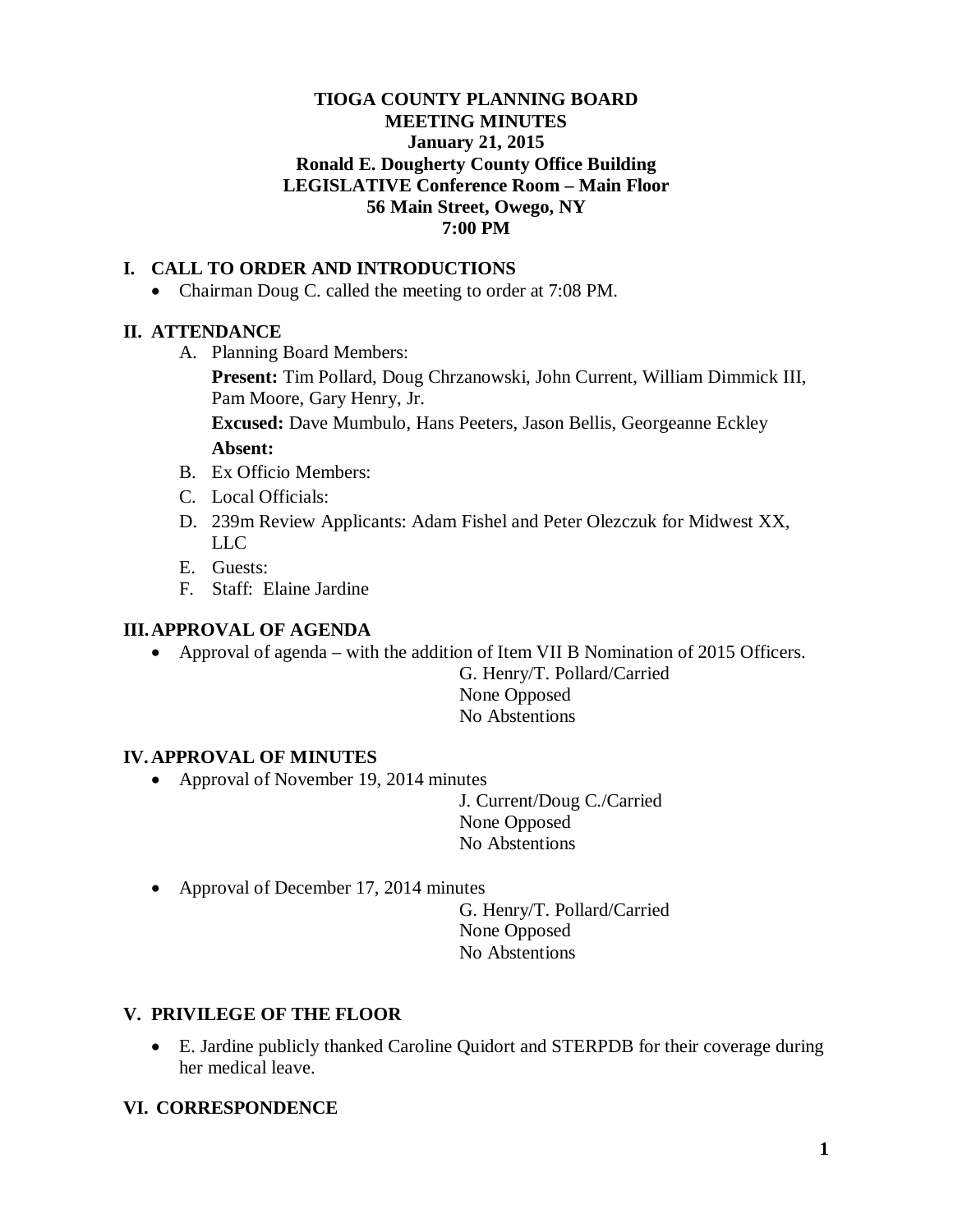## **TIOGA COUNTY PLANNING BOARD MEETING MINUTES January 21, 2015 Ronald E. Dougherty County Office Building LEGISLATIVE Conference Room – Main Floor 56 Main Street, Owego, NY 7:00 PM**

## **I. CALL TO ORDER AND INTRODUCTIONS**

• Chairman Doug C. called the meeting to order at 7:08 PM.

#### **II. ATTENDANCE**

A. Planning Board Members:

**Present:** Tim Pollard, Doug Chrzanowski, John Current, William Dimmick III, Pam Moore, Gary Henry, Jr.

**Excused:** Dave Mumbulo, Hans Peeters, Jason Bellis, Georgeanne Eckley **Absent:**

- B. Ex Officio Members:
- C. Local Officials:
- D. 239m Review Applicants: Adam Fishel and Peter Olezczuk for Midwest XX, LLC
- E. Guests:
- F. Staff: Elaine Jardine

#### **III.APPROVAL OF AGENDA**

• Approval of agenda – with the addition of Item VII B Nomination of 2015 Officers.

G. Henry/T. Pollard/Carried None Opposed No Abstentions

#### **IV. APPROVAL OF MINUTES**

• Approval of November 19, 2014 minutes

J. Current/Doug C./Carried None Opposed No Abstentions

• Approval of December 17, 2014 minutes

G. Henry/T. Pollard/Carried None Opposed No Abstentions

#### **V. PRIVILEGE OF THE FLOOR**

• E. Jardine publicly thanked Caroline Quidort and STERPDB for their coverage during her medical leave.

#### **VI. CORRESPONDENCE**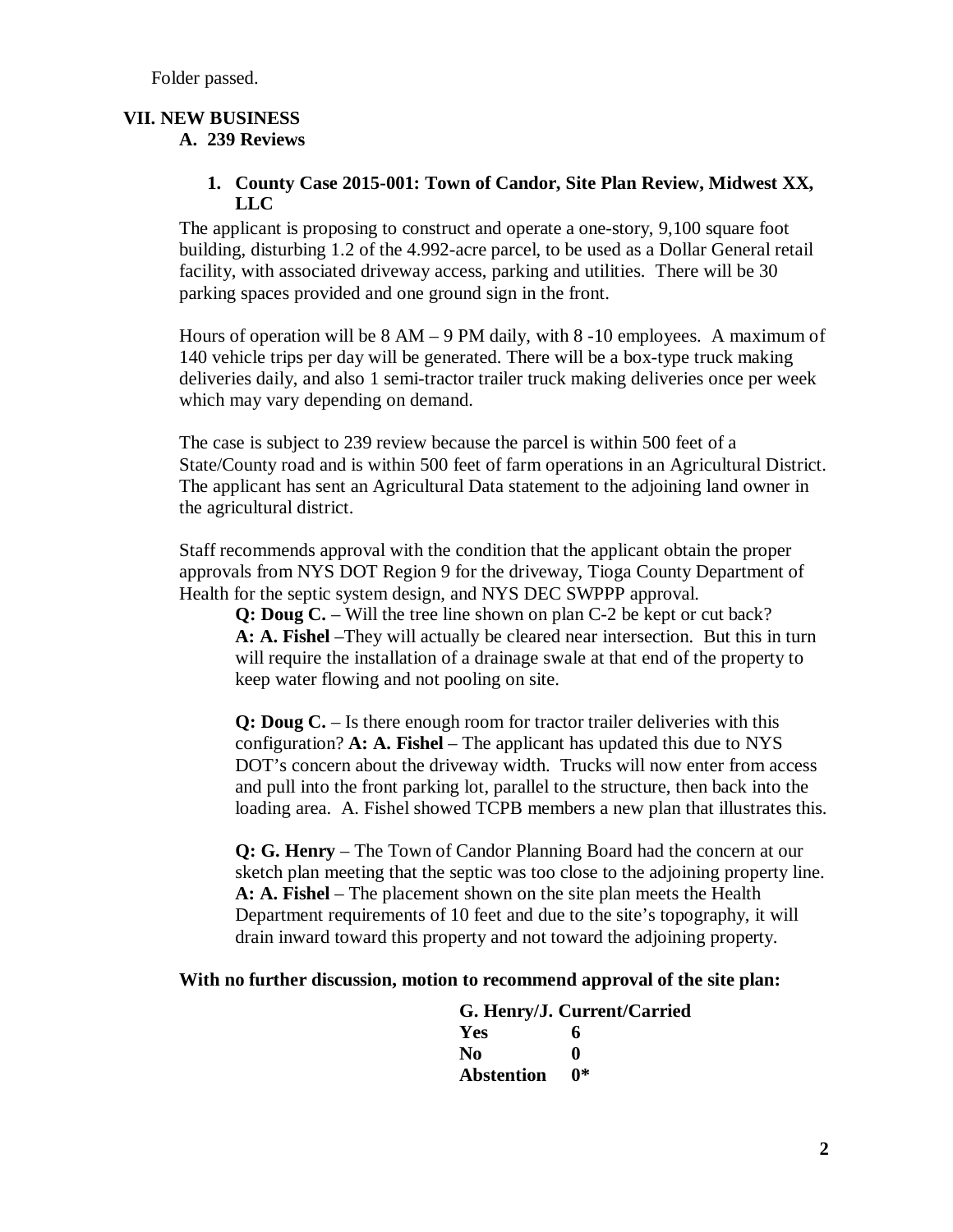## **VII. NEW BUSINESS A. 239 Reviews**

# **1. County Case 2015-001: Town of Candor, Site Plan Review, Midwest XX, LLC**

The applicant is proposing to construct and operate a one-story, 9,100 square foot building, disturbing 1.2 of the 4.992-acre parcel, to be used as a Dollar General retail facility, with associated driveway access, parking and utilities. There will be 30 parking spaces provided and one ground sign in the front.

Hours of operation will be 8 AM – 9 PM daily, with 8 -10 employees. A maximum of 140 vehicle trips per day will be generated. There will be a box-type truck making deliveries daily, and also 1 semi-tractor trailer truck making deliveries once per week which may vary depending on demand.

The case is subject to 239 review because the parcel is within 500 feet of a State/County road and is within 500 feet of farm operations in an Agricultural District. The applicant has sent an Agricultural Data statement to the adjoining land owner in the agricultural district.

Staff recommends approval with the condition that the applicant obtain the proper approvals from NYS DOT Region 9 for the driveway, Tioga County Department of Health for the septic system design, and NYS DEC SWPPP approval.

**Q: Doug C.** – Will the tree line shown on plan C-2 be kept or cut back? **A: A. Fishel** –They will actually be cleared near intersection. But this in turn will require the installation of a drainage swale at that end of the property to keep water flowing and not pooling on site.

**Q: Doug C.** – Is there enough room for tractor trailer deliveries with this configuration? **A: A. Fishel** – The applicant has updated this due to NYS DOT's concern about the driveway width. Trucks will now enter from access and pull into the front parking lot, parallel to the structure, then back into the loading area. A. Fishel showed TCPB members a new plan that illustrates this.

**Q: G. Henry** – The Town of Candor Planning Board had the concern at our sketch plan meeting that the septic was too close to the adjoining property line. **A: A. Fishel** – The placement shown on the site plan meets the Health Department requirements of 10 feet and due to the site's topography, it will drain inward toward this property and not toward the adjoining property.

#### **With no further discussion, motion to recommend approval of the site plan:**

|                   | G. Henry/J. Current/Carried |
|-------------------|-----------------------------|
| Yes               | 6                           |
| N <sub>0</sub>    | ⋀                           |
| <b>Abstention</b> | ∩*                          |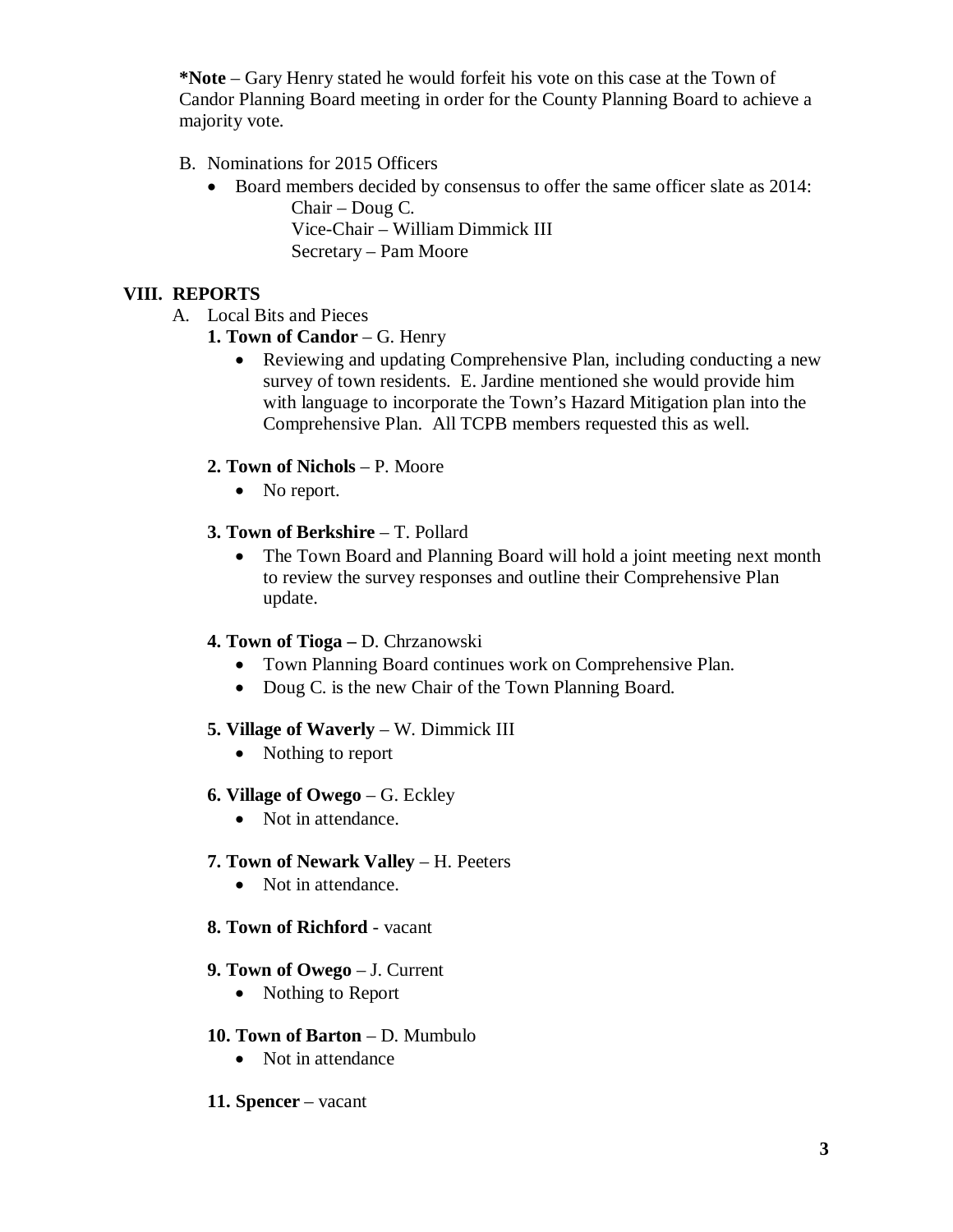**\*Note** – Gary Henry stated he would forfeit his vote on this case at the Town of Candor Planning Board meeting in order for the County Planning Board to achieve a majority vote.

- B. Nominations for 2015 Officers
	- Board members decided by consensus to offer the same officer slate as 2014: Chair – Doug C. Vice-Chair – William Dimmick III Secretary – Pam Moore

## **VIII. REPORTS**

- A. Local Bits and Pieces
	- **1. Town of Candor**  G. Henry
		- Reviewing and updating Comprehensive Plan, including conducting a new survey of town residents. E. Jardine mentioned she would provide him with language to incorporate the Town's Hazard Mitigation plan into the Comprehensive Plan. All TCPB members requested this as well.

#### **2. Town of Nichols** – P. Moore

• No report.

#### **3. Town of Berkshire** – T. Pollard

• The Town Board and Planning Board will hold a joint meeting next month to review the survey responses and outline their Comprehensive Plan update.

#### **4. Town of Tioga –** D. Chrzanowski

- Town Planning Board continues work on Comprehensive Plan.
- Doug C. is the new Chair of the Town Planning Board.

## **5. Village of Waverly** – W. Dimmick III

- Nothing to report
- **6. Village of Owego** G. Eckley
	- Not in attendance.

#### **7. Town of Newark Valley** – H. Peeters

• Not in attendance.

## **8. Town of Richford** - vacant

#### **9. Town of Owego** – J. Current

- Nothing to Report
- **10. Town of Barton** D. Mumbulo
	- Not in attendance
- **11. Spencer** vacant